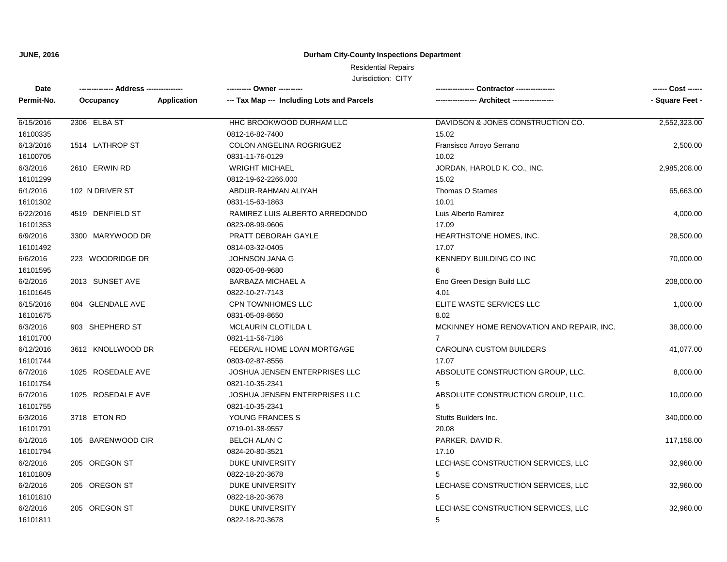### **Durham City-County Inspections Department**

# Residential Repairs

| Date       | -------------- Address --------------- |             | --------- Owner ---------                  | <b>Contractor ---------------</b>         | ------ Cost ------ |
|------------|----------------------------------------|-------------|--------------------------------------------|-------------------------------------------|--------------------|
| Permit-No. | Occupancy                              | Application | --- Tax Map --- Including Lots and Parcels |                                           | - Square Feet -    |
| 6/15/2016  | 2306 ELBA ST                           |             | HHC BROOKWOOD DURHAM LLC                   | DAVIDSON & JONES CONSTRUCTION CO.         | 2,552,323.00       |
| 16100335   |                                        |             | 0812-16-82-7400                            | 15.02                                     |                    |
| 6/13/2016  | 1514 LATHROP ST                        |             | COLON ANGELINA ROGRIGUEZ                   | Fransisco Arroyo Serrano                  | 2,500.00           |
| 16100705   |                                        |             | 0831-11-76-0129                            | 10.02                                     |                    |
| 6/3/2016   | 2610 ERWIN RD                          |             | <b>WRIGHT MICHAEL</b>                      | JORDAN, HAROLD K. CO., INC.               | 2,985,208.00       |
| 16101299   |                                        |             | 0812-19-62-2266.000                        | 15.02                                     |                    |
| 6/1/2016   | 102 N DRIVER ST                        |             | ABDUR-RAHMAN ALIYAH                        | Thomas O Starnes                          | 65,663.00          |
| 16101302   |                                        |             | 0831-15-63-1863                            | 10.01                                     |                    |
| 6/22/2016  | 4519 DENFIELD ST                       |             | RAMIREZ LUIS ALBERTO ARREDONDO             | Luis Alberto Ramirez                      | 4,000.00           |
| 16101353   |                                        |             | 0823-08-99-9606                            | 17.09                                     |                    |
| 6/9/2016   | 3300 MARYWOOD DR                       |             | PRATT DEBORAH GAYLE                        | HEARTHSTONE HOMES, INC.                   | 28,500.00          |
| 16101492   |                                        |             | 0814-03-32-0405                            | 17.07                                     |                    |
| 6/6/2016   | 223 WOODRIDGE DR                       |             | JOHNSON JANA G                             | KENNEDY BUILDING CO INC                   | 70,000.00          |
| 16101595   |                                        |             | 0820-05-08-9680                            | 6                                         |                    |
| 6/2/2016   | 2013 SUNSET AVE                        |             | <b>BARBAZA MICHAEL A</b>                   | Eno Green Design Build LLC                | 208,000.00         |
| 16101645   |                                        |             | 0822-10-27-7143                            | 4.01                                      |                    |
| 6/15/2016  | 804 GLENDALE AVE                       |             | CPN TOWNHOMES LLC                          | ELITE WASTE SERVICES LLC                  | 1,000.00           |
| 16101675   |                                        |             | 0831-05-09-8650                            | 8.02                                      |                    |
| 6/3/2016   | 903 SHEPHERD ST                        |             | MCLAURIN CLOTILDA L                        | MCKINNEY HOME RENOVATION AND REPAIR, INC. | 38,000.00          |
| 16101700   |                                        |             | 0821-11-56-7186                            | $\overline{7}$                            |                    |
| 6/12/2016  | 3612 KNOLLWOOD DR                      |             | FEDERAL HOME LOAN MORTGAGE                 | <b>CAROLINA CUSTOM BUILDERS</b>           | 41,077.00          |
| 16101744   |                                        |             | 0803-02-87-8556                            | 17.07                                     |                    |
| 6/7/2016   | 1025 ROSEDALE AVE                      |             | JOSHUA JENSEN ENTERPRISES LLC              | ABSOLUTE CONSTRUCTION GROUP, LLC.         | 8,000.00           |
| 16101754   |                                        |             | 0821-10-35-2341                            | 5                                         |                    |
| 6/7/2016   | 1025 ROSEDALE AVE                      |             | JOSHUA JENSEN ENTERPRISES LLC              | ABSOLUTE CONSTRUCTION GROUP, LLC.         | 10,000.00          |
| 16101755   |                                        |             | 0821-10-35-2341                            | 5                                         |                    |
| 6/3/2016   | 3718 ETON RD                           |             | YOUNG FRANCES S                            | Stutts Builders Inc.                      | 340,000.00         |
| 16101791   |                                        |             | 0719-01-38-9557                            | 20.08                                     |                    |
| 6/1/2016   | 105 BARENWOOD CIR                      |             | <b>BELCH ALAN C</b>                        | PARKER, DAVID R.                          | 117,158.00         |
| 16101794   |                                        |             | 0824-20-80-3521                            | 17.10                                     |                    |
| 6/2/2016   | 205 OREGON ST                          |             | <b>DUKE UNIVERSITY</b>                     | LECHASE CONSTRUCTION SERVICES, LLC        | 32,960.00          |
| 16101809   |                                        |             | 0822-18-20-3678                            | 5                                         |                    |
| 6/2/2016   | 205 OREGON ST                          |             | <b>DUKE UNIVERSITY</b>                     | LECHASE CONSTRUCTION SERVICES, LLC        | 32,960.00          |
| 16101810   |                                        |             | 0822-18-20-3678                            | 5                                         |                    |
| 6/2/2016   | 205 OREGON ST                          |             | <b>DUKE UNIVERSITY</b>                     | LECHASE CONSTRUCTION SERVICES, LLC        | 32,960.00          |
| 16101811   |                                        |             | 0822-18-20-3678                            | 5                                         |                    |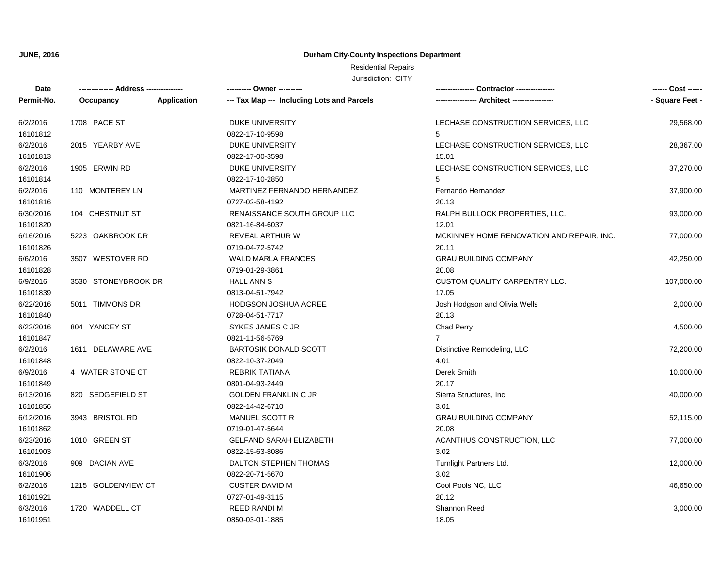### **Durham City-County Inspections Department**

# Residential Repairs

| Date       | -------------- Address --------------- |             | ---------- Owner ----------                |                                           | ------ Cost ------ |
|------------|----------------------------------------|-------------|--------------------------------------------|-------------------------------------------|--------------------|
| Permit-No. | Occupancy                              | Application | --- Tax Map --- Including Lots and Parcels |                                           | - Square Feet -    |
| 6/2/2016   | 1708 PACE ST                           |             | DUKE UNIVERSITY                            | LECHASE CONSTRUCTION SERVICES, LLC        | 29,568.00          |
| 16101812   |                                        |             | 0822-17-10-9598                            | 5                                         |                    |
| 6/2/2016   | 2015 YEARBY AVE                        |             | DUKE UNIVERSITY                            | LECHASE CONSTRUCTION SERVICES, LLC        | 28,367.00          |
| 16101813   |                                        |             | 0822-17-00-3598                            | 15.01                                     |                    |
| 6/2/2016   | 1905 ERWIN RD                          |             | DUKE UNIVERSITY                            | LECHASE CONSTRUCTION SERVICES, LLC        | 37,270.00          |
| 16101814   |                                        |             | 0822-17-10-2850                            | 5                                         |                    |
| 6/2/2016   | 110 MONTEREY LN                        |             | MARTINEZ FERNANDO HERNANDEZ                | Fernando Hernandez                        | 37,900.00          |
| 16101816   |                                        |             | 0727-02-58-4192                            | 20.13                                     |                    |
| 6/30/2016  | 104 CHESTNUT ST                        |             | RENAISSANCE SOUTH GROUP LLC                | RALPH BULLOCK PROPERTIES, LLC.            | 93,000.00          |
| 16101820   |                                        |             | 0821-16-84-6037                            | 12.01                                     |                    |
| 6/16/2016  | 5223 OAKBROOK DR                       |             | REVEAL ARTHUR W                            | MCKINNEY HOME RENOVATION AND REPAIR, INC. | 77,000.00          |
| 16101826   |                                        |             | 0719-04-72-5742                            | 20.11                                     |                    |
| 6/6/2016   | 3507 WESTOVER RD                       |             | <b>WALD MARLA FRANCES</b>                  | <b>GRAU BUILDING COMPANY</b>              | 42,250.00          |
| 16101828   |                                        |             | 0719-01-29-3861                            | 20.08                                     |                    |
| 6/9/2016   | 3530 STONEYBROOK DR                    |             | <b>HALL ANN S</b>                          | CUSTOM QUALITY CARPENTRY LLC.             | 107,000.00         |
| 16101839   |                                        |             | 0813-04-51-7942                            | 17.05                                     |                    |
| 6/22/2016  | 5011 TIMMONS DR                        |             | HODGSON JOSHUA ACREE                       | Josh Hodgson and Olivia Wells             | 2,000.00           |
| 16101840   |                                        |             | 0728-04-51-7717                            | 20.13                                     |                    |
| 6/22/2016  | 804 YANCEY ST                          |             | SYKES JAMES C JR                           | Chad Perry                                | 4,500.00           |
| 16101847   |                                        |             | 0821-11-56-5769                            | $\overline{7}$                            |                    |
| 6/2/2016   | 1611 DELAWARE AVE                      |             | <b>BARTOSIK DONALD SCOTT</b>               | Distinctive Remodeling, LLC               | 72,200.00          |
| 16101848   |                                        |             | 0822-10-37-2049                            | 4.01                                      |                    |
| 6/9/2016   | 4 WATER STONE CT                       |             | <b>REBRIK TATIANA</b>                      | Derek Smith                               | 10,000.00          |
| 16101849   |                                        |             | 0801-04-93-2449                            | 20.17                                     |                    |
| 6/13/2016  | 820 SEDGEFIELD ST                      |             | <b>GOLDEN FRANKLIN C JR</b>                | Sierra Structures, Inc.                   | 40,000.00          |
| 16101856   |                                        |             | 0822-14-42-6710                            | 3.01                                      |                    |
| 6/12/2016  | 3943 BRISTOL RD                        |             | MANUEL SCOTT R                             | <b>GRAU BUILDING COMPANY</b>              | 52,115.00          |
| 16101862   |                                        |             | 0719-01-47-5644                            | 20.08                                     |                    |
| 6/23/2016  | 1010 GREEN ST                          |             | <b>GELFAND SARAH ELIZABETH</b>             | ACANTHUS CONSTRUCTION, LLC                | 77,000.00          |
| 16101903   |                                        |             | 0822-15-63-8086                            | 3.02                                      |                    |
| 6/3/2016   | 909 DACIAN AVE                         |             | DALTON STEPHEN THOMAS                      | Turnlight Partners Ltd.                   | 12,000.00          |
| 16101906   |                                        |             | 0822-20-71-5670                            | 3.02                                      |                    |
| 6/2/2016   | 1215 GOLDENVIEW CT                     |             | <b>CUSTER DAVID M</b>                      | Cool Pools NC, LLC                        | 46,650.00          |
| 16101921   |                                        |             | 0727-01-49-3115                            | 20.12                                     |                    |
| 6/3/2016   | 1720 WADDELL CT                        |             | REED RANDI M                               | Shannon Reed                              | 3,000.00           |
| 16101951   |                                        |             | 0850-03-01-1885                            | 18.05                                     |                    |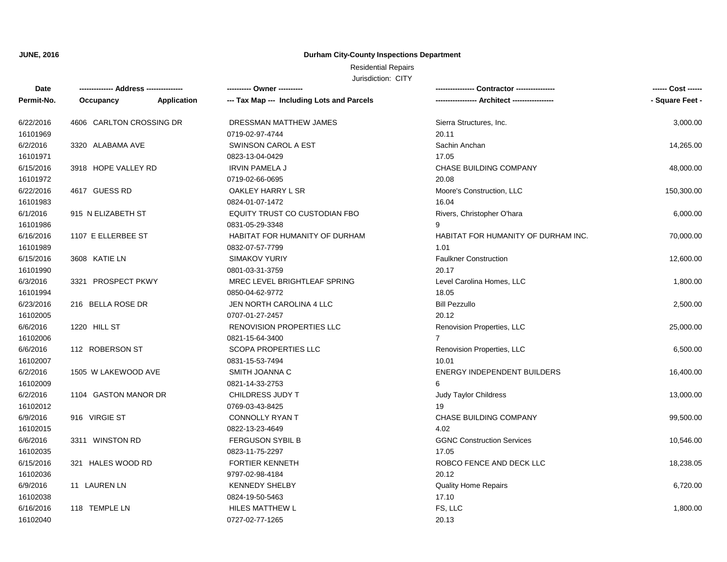### **Durham City-County Inspections Department**

# Residential Repairs

| Date       | -------------- Address --------------- |             | ---------- Owner ----------                |                                            |                 |
|------------|----------------------------------------|-------------|--------------------------------------------|--------------------------------------------|-----------------|
| Permit-No. | Occupancy                              | Application | --- Tax Map --- Including Lots and Parcels |                                            | - Square Feet - |
| 6/22/2016  | 4606 CARLTON CROSSING DR               |             | DRESSMAN MATTHEW JAMES                     | Sierra Structures, Inc.                    | 3,000.00        |
| 16101969   |                                        |             | 0719-02-97-4744                            | 20.11                                      |                 |
| 6/2/2016   | 3320 ALABAMA AVE                       |             | <b>SWINSON CAROL A EST</b>                 | Sachin Anchan                              | 14,265.00       |
| 16101971   |                                        |             | 0823-13-04-0429                            | 17.05                                      |                 |
| 6/15/2016  | 3918 HOPE VALLEY RD                    |             | <b>IRVIN PAMELA J</b>                      | CHASE BUILDING COMPANY                     | 48,000.00       |
| 16101972   |                                        |             | 0719-02-66-0695                            | 20.08                                      |                 |
| 6/22/2016  | 4617 GUESS RD                          |             | OAKLEY HARRY L SR                          | Moore's Construction, LLC                  | 150,300.00      |
| 16101983   |                                        |             | 0824-01-07-1472                            | 16.04                                      |                 |
| 6/1/2016   | 915 N ELIZABETH ST                     |             | EQUITY TRUST CO CUSTODIAN FBO              | Rivers, Christopher O'hara                 | 6,000.00        |
| 16101986   |                                        |             | 0831-05-29-3348                            | 9                                          |                 |
| 6/16/2016  | 1107 E ELLERBEE ST                     |             | HABITAT FOR HUMANITY OF DURHAM             | <b>HABITAT FOR HUMANITY OF DURHAM INC.</b> | 70,000.00       |
| 16101989   |                                        |             | 0832-07-57-7799                            | 1.01                                       |                 |
| 6/15/2016  | 3608 KATIE LN                          |             | <b>SIMAKOV YURIY</b>                       | <b>Faulkner Construction</b>               | 12,600.00       |
| 16101990   |                                        |             | 0801-03-31-3759                            | 20.17                                      |                 |
| 6/3/2016   | 3321 PROSPECT PKWY                     |             | MREC LEVEL BRIGHTLEAF SPRING               | Level Carolina Homes, LLC                  | 1,800.00        |
| 16101994   |                                        |             | 0850-04-62-9772                            | 18.05                                      |                 |
| 6/23/2016  | 216 BELLA ROSE DR                      |             | JEN NORTH CAROLINA 4 LLC                   | <b>Bill Pezzullo</b>                       | 2,500.00        |
| 16102005   |                                        |             | 0707-01-27-2457                            | 20.12                                      |                 |
| 6/6/2016   | 1220 HILL ST                           |             | <b>RENOVISION PROPERTIES LLC</b>           | Renovision Properties, LLC                 | 25,000.00       |
| 16102006   |                                        |             | 0821-15-64-3400                            | $\overline{7}$                             |                 |
| 6/6/2016   | 112 ROBERSON ST                        |             | <b>SCOPA PROPERTIES LLC</b>                | Renovision Properties, LLC                 | 6,500.00        |
| 16102007   |                                        |             | 0831-15-53-7494                            | 10.01                                      |                 |
| 6/2/2016   | 1505 W LAKEWOOD AVE                    |             | SMITH JOANNA C                             | <b>ENERGY INDEPENDENT BUILDERS</b>         | 16,400.00       |
| 16102009   |                                        |             | 0821-14-33-2753                            | 6                                          |                 |
| 6/2/2016   | 1104 GASTON MANOR DR                   |             | CHILDRESS JUDY T                           | Judy Taylor Childress                      | 13,000.00       |
| 16102012   |                                        |             | 0769-03-43-8425                            | 19                                         |                 |
| 6/9/2016   | 916 VIRGIE ST                          |             | <b>CONNOLLY RYAN T</b>                     | CHASE BUILDING COMPANY                     | 99,500.00       |
| 16102015   |                                        |             | 0822-13-23-4649                            | 4.02                                       |                 |
| 6/6/2016   | 3311 WINSTON RD                        |             | <b>FERGUSON SYBIL B</b>                    | <b>GGNC Construction Services</b>          | 10,546.00       |
| 16102035   |                                        |             | 0823-11-75-2297                            | 17.05                                      |                 |
| 6/15/2016  | 321 HALES WOOD RD                      |             | <b>FORTIER KENNETH</b>                     | ROBCO FENCE AND DECK LLC                   | 18,238.05       |
| 16102036   |                                        |             | 9797-02-98-4184                            | 20.12                                      |                 |
| 6/9/2016   | 11 LAUREN LN                           |             | <b>KENNEDY SHELBY</b>                      | <b>Quality Home Repairs</b>                | 6,720.00        |
| 16102038   |                                        |             | 0824-19-50-5463                            | 17.10                                      |                 |
| 6/16/2016  | 118 TEMPLE LN                          |             | HILES MATTHEW L                            | FS, LLC                                    | 1,800.00        |
| 16102040   |                                        |             | 0727-02-77-1265                            | 20.13                                      |                 |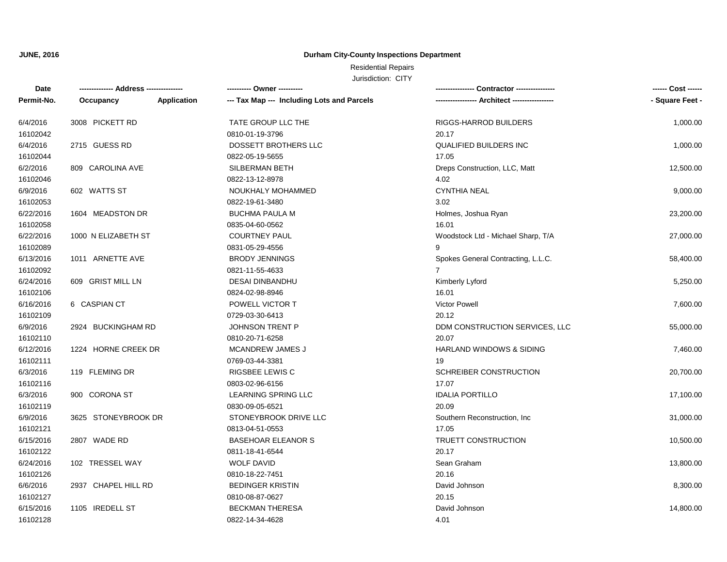### **Durham City-County Inspections Department**

# Residential Repairs

| Date       | -------------- Address --------------- |             | ---------- Owner ----------                |                                    | ------ Cost ------ |
|------------|----------------------------------------|-------------|--------------------------------------------|------------------------------------|--------------------|
| Permit-No. | Occupancy                              | Application | --- Tax Map --- Including Lots and Parcels | --- Architect -------------        | - Square Feet -    |
| 6/4/2016   | 3008 PICKETT RD                        |             | TATE GROUP LLC THE                         | RIGGS-HARROD BUILDERS              | 1,000.00           |
| 16102042   |                                        |             | 0810-01-19-3796                            | 20.17                              |                    |
| 6/4/2016   | 2715 GUESS RD                          |             | DOSSETT BROTHERS LLC                       | <b>QUALIFIED BUILDERS INC</b>      | 1,000.00           |
| 16102044   |                                        |             | 0822-05-19-5655                            | 17.05                              |                    |
| 6/2/2016   | 809 CAROLINA AVE                       |             | SILBERMAN BETH                             | Dreps Construction, LLC, Matt      | 12,500.00          |
| 16102046   |                                        |             | 0822-13-12-8978                            | 4.02                               |                    |
| 6/9/2016   | 602 WATTS ST                           |             | NOUKHALY MOHAMMED                          | <b>CYNTHIA NEAL</b>                | 9,000.00           |
| 16102053   |                                        |             | 0822-19-61-3480                            | 3.02                               |                    |
| 6/22/2016  | 1604 MEADSTON DR                       |             | <b>BUCHMA PAULA M</b>                      | Holmes, Joshua Ryan                | 23,200.00          |
| 16102058   |                                        |             | 0835-04-60-0562                            | 16.01                              |                    |
| 6/22/2016  | 1000 N ELIZABETH ST                    |             | <b>COURTNEY PAUL</b>                       | Woodstock Ltd - Michael Sharp, T/A | 27,000.00          |
| 16102089   |                                        |             | 0831-05-29-4556                            | 9                                  |                    |
| 6/13/2016  | 1011 ARNETTE AVE                       |             | <b>BRODY JENNINGS</b>                      | Spokes General Contracting, L.L.C. | 58,400.00          |
| 16102092   |                                        |             | 0821-11-55-4633                            |                                    |                    |
| 6/24/2016  | 609 GRIST MILL LN                      |             | <b>DESAI DINBANDHU</b>                     | Kimberly Lyford                    | 5,250.00           |
| 16102106   |                                        |             | 0824-02-98-8946                            | 16.01                              |                    |
| 6/16/2016  | 6 CASPIAN CT                           |             | POWELL VICTOR T                            | <b>Victor Powell</b>               | 7,600.00           |
| 16102109   |                                        |             | 0729-03-30-6413                            | 20.12                              |                    |
| 6/9/2016   | 2924 BUCKINGHAM RD                     |             | <b>JOHNSON TRENT P</b>                     | DDM CONSTRUCTION SERVICES, LLC     | 55,000.00          |
| 16102110   |                                        |             | 0810-20-71-6258                            | 20.07                              |                    |
| 6/12/2016  | 1224 HORNE CREEK DR                    |             | MCANDREW JAMES J                           | HARLAND WINDOWS & SIDING           | 7,460.00           |
| 16102111   |                                        |             | 0769-03-44-3381                            | 19                                 |                    |
| 6/3/2016   | 119 FLEMING DR                         |             | <b>RIGSBEE LEWIS C</b>                     | SCHREIBER CONSTRUCTION             | 20,700.00          |
| 16102116   |                                        |             | 0803-02-96-6156                            | 17.07                              |                    |
| 6/3/2016   | 900 CORONA ST                          |             | <b>LEARNING SPRING LLC</b>                 | <b>IDALIA PORTILLO</b>             | 17,100.00          |
| 16102119   |                                        |             | 0830-09-05-6521                            | 20.09                              |                    |
| 6/9/2016   | 3625 STONEYBROOK DR                    |             | STONEYBROOK DRIVE LLC                      | Southern Reconstruction, Inc.      | 31,000.00          |
| 16102121   |                                        |             | 0813-04-51-0553                            | 17.05                              |                    |
| 6/15/2016  | 2807 WADE RD                           |             | <b>BASEHOAR ELEANOR S</b>                  | TRUETT CONSTRUCTION                | 10,500.00          |
| 16102122   |                                        |             | 0811-18-41-6544                            | 20.17                              |                    |
| 6/24/2016  | 102 TRESSEL WAY                        |             | <b>WOLF DAVID</b>                          | Sean Graham                        | 13,800.00          |
| 16102126   |                                        |             | 0810-18-22-7451                            | 20.16                              |                    |
| 6/6/2016   | 2937 CHAPEL HILL RD                    |             | <b>BEDINGER KRISTIN</b>                    | David Johnson                      | 8,300.00           |
| 16102127   |                                        |             | 0810-08-87-0627                            | 20.15                              |                    |
| 6/15/2016  | 1105 IREDELL ST                        |             | <b>BECKMAN THERESA</b>                     | David Johnson                      | 14,800.00          |
| 16102128   |                                        |             | 0822-14-34-4628                            | 4.01                               |                    |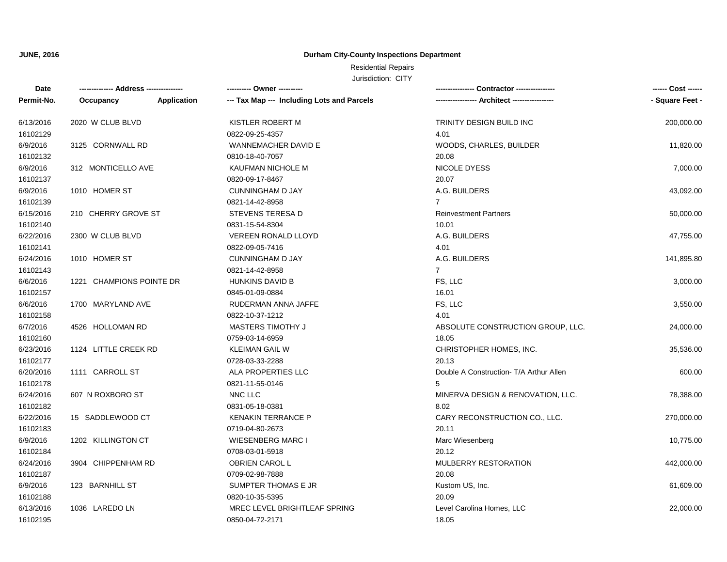### **Durham City-County Inspections Department**

# Residential Repairs

| Date       | -------------- Address ---------------<br>---------- Owner ----------<br>Contractor --------------- |             |                                            |                                         |                 |
|------------|-----------------------------------------------------------------------------------------------------|-------------|--------------------------------------------|-----------------------------------------|-----------------|
| Permit-No. | Occupancy                                                                                           | Application | --- Tax Map --- Including Lots and Parcels | -- Architect -----------------          | - Square Feet - |
| 6/13/2016  | 2020 W CLUB BLVD                                                                                    |             | KISTLER ROBERT M                           | TRINITY DESIGN BUILD INC                | 200,000.00      |
| 16102129   |                                                                                                     |             | 0822-09-25-4357                            | 4.01                                    |                 |
| 6/9/2016   | 3125 CORNWALL RD                                                                                    |             | <b>WANNEMACHER DAVID E</b>                 | WOODS, CHARLES, BUILDER                 | 11,820.00       |
| 16102132   |                                                                                                     |             | 0810-18-40-7057                            | 20.08                                   |                 |
| 6/9/2016   | 312 MONTICELLO AVE                                                                                  |             | KAUFMAN NICHOLE M                          | NICOLE DYESS                            | 7,000.00        |
| 16102137   |                                                                                                     |             | 0820-09-17-8467                            | 20.07                                   |                 |
| 6/9/2016   | 1010 HOMER ST                                                                                       |             | <b>CUNNINGHAM D JAY</b>                    | A.G. BUILDERS                           | 43,092.00       |
| 16102139   |                                                                                                     |             | 0821-14-42-8958                            | $\overline{7}$                          |                 |
| 6/15/2016  | 210 CHERRY GROVE ST                                                                                 |             | <b>STEVENS TERESA D</b>                    | <b>Reinvestment Partners</b>            | 50,000.00       |
| 16102140   |                                                                                                     |             | 0831-15-54-8304                            | 10.01                                   |                 |
| 6/22/2016  | 2300 W CLUB BLVD                                                                                    |             | <b>VEREEN RONALD LLOYD</b>                 | A.G. BUILDERS                           | 47,755.00       |
| 16102141   |                                                                                                     |             | 0822-09-05-7416                            | 4.01                                    |                 |
| 6/24/2016  | 1010 HOMER ST                                                                                       |             | <b>CUNNINGHAM D JAY</b>                    | A.G. BUILDERS                           | 141,895.80      |
| 16102143   |                                                                                                     |             | 0821-14-42-8958                            | $\overline{7}$                          |                 |
| 6/6/2016   | 1221 CHAMPIONS POINTE DR                                                                            |             | HUNKINS DAVID B                            | FS, LLC                                 | 3,000.00        |
| 16102157   |                                                                                                     |             | 0845-01-09-0884                            | 16.01                                   |                 |
| 6/6/2016   | 1700 MARYLAND AVE                                                                                   |             | RUDERMAN ANNA JAFFE                        | FS, LLC                                 | 3,550.00        |
| 16102158   |                                                                                                     |             | 0822-10-37-1212                            | 4.01                                    |                 |
| 6/7/2016   | 4526 HOLLOMAN RD                                                                                    |             | <b>MASTERS TIMOTHY J</b>                   | ABSOLUTE CONSTRUCTION GROUP, LLC.       | 24,000.00       |
| 16102160   |                                                                                                     |             | 0759-03-14-6959                            | 18.05                                   |                 |
| 6/23/2016  | 1124 LITTLE CREEK RD                                                                                |             | <b>KLEIMAN GAIL W</b>                      | CHRISTOPHER HOMES, INC.                 | 35,536.00       |
| 16102177   |                                                                                                     |             | 0728-03-33-2288                            | 20.13                                   |                 |
| 6/20/2016  | 1111 CARROLL ST                                                                                     |             | ALA PROPERTIES LLC                         | Double A Construction- T/A Arthur Allen | 600.00          |
| 16102178   |                                                                                                     |             | 0821-11-55-0146                            | 5                                       |                 |
| 6/24/2016  | 607 N ROXBORO ST                                                                                    |             | NNC LLC                                    | MINERVA DESIGN & RENOVATION, LLC.       | 78,388.00       |
| 16102182   |                                                                                                     |             | 0831-05-18-0381                            | 8.02                                    |                 |
| 6/22/2016  | 15 SADDLEWOOD CT                                                                                    |             | <b>KENAKIN TERRANCE P</b>                  | CARY RECONSTRUCTION CO., LLC.           | 270,000.00      |
| 16102183   |                                                                                                     |             | 0719-04-80-2673                            | 20.11                                   |                 |
| 6/9/2016   | 1202 KILLINGTON CT                                                                                  |             | <b>WIESENBERG MARC I</b>                   | Marc Wiesenberg                         | 10,775.00       |
| 16102184   |                                                                                                     |             | 0708-03-01-5918                            | 20.12                                   |                 |
| 6/24/2016  | 3904 CHIPPENHAM RD                                                                                  |             | OBRIEN CAROL L                             | MULBERRY RESTORATION                    | 442,000.00      |
| 16102187   |                                                                                                     |             | 0709-02-98-7888                            | 20.08                                   |                 |
| 6/9/2016   | 123 BARNHILL ST                                                                                     |             | SUMPTER THOMAS E JR                        | Kustom US, Inc.                         | 61,609.00       |
| 16102188   |                                                                                                     |             | 0820-10-35-5395                            | 20.09                                   |                 |
| 6/13/2016  | 1036 LAREDO LN                                                                                      |             | MREC LEVEL BRIGHTLEAF SPRING               | Level Carolina Homes, LLC               | 22,000.00       |
| 16102195   |                                                                                                     |             | 0850-04-72-2171                            | 18.05                                   |                 |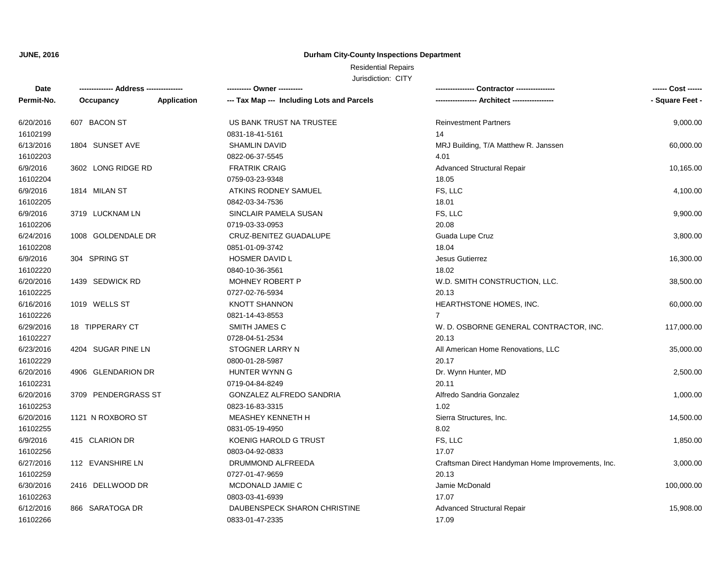### **Durham City-County Inspections Department**

## Residential Repairs

| Date       | -------------- Address --------------- |                    | ---------- Owner ----------                |                                                   | ------ Cost ------ |
|------------|----------------------------------------|--------------------|--------------------------------------------|---------------------------------------------------|--------------------|
| Permit-No. | Occupancy                              | <b>Application</b> | --- Tax Map --- Including Lots and Parcels |                                                   | - Square Feet -    |
| 6/20/2016  | 607 BACON ST                           |                    | US BANK TRUST NA TRUSTEE                   | <b>Reinvestment Partners</b>                      | 9,000.00           |
| 16102199   |                                        |                    | 0831-18-41-5161                            | 14                                                |                    |
| 6/13/2016  | 1804 SUNSET AVE                        |                    | <b>SHAMLIN DAVID</b>                       | MRJ Building, T/A Matthew R. Janssen              | 60,000.00          |
| 16102203   |                                        |                    | 0822-06-37-5545                            | 4.01                                              |                    |
| 6/9/2016   | 3602 LONG RIDGE RD                     |                    | <b>FRATRIK CRAIG</b>                       | <b>Advanced Structural Repair</b>                 | 10,165.00          |
| 16102204   |                                        |                    | 0759-03-23-9348                            | 18.05                                             |                    |
| 6/9/2016   | 1814 MILAN ST                          |                    | ATKINS RODNEY SAMUEL                       | FS, LLC                                           | 4,100.00           |
| 16102205   |                                        |                    | 0842-03-34-7536                            | 18.01                                             |                    |
| 6/9/2016   | 3719 LUCKNAM LN                        |                    | SINCLAIR PAMELA SUSAN                      | FS, LLC                                           | 9,900.00           |
| 16102206   |                                        |                    | 0719-03-33-0953                            | 20.08                                             |                    |
| 6/24/2016  | 1008 GOLDENDALE DR                     |                    | CRUZ-BENITEZ GUADALUPE                     | Guada Lupe Cruz                                   | 3,800.00           |
| 16102208   |                                        |                    | 0851-01-09-3742                            | 18.04                                             |                    |
| 6/9/2016   | 304 SPRING ST                          |                    | <b>HOSMER DAVID L</b>                      | <b>Jesus Gutierrez</b>                            | 16,300.00          |
| 16102220   |                                        |                    | 0840-10-36-3561                            | 18.02                                             |                    |
| 6/20/2016  | 1439 SEDWICK RD                        |                    | <b>MOHNEY ROBERT P</b>                     | W.D. SMITH CONSTRUCTION, LLC.                     | 38,500.00          |
| 16102225   |                                        |                    | 0727-02-76-5934                            | 20.13                                             |                    |
| 6/16/2016  | 1019 WELLS ST                          |                    | <b>KNOTT SHANNON</b>                       | HEARTHSTONE HOMES, INC.                           | 60,000.00          |
| 16102226   |                                        |                    | 0821-14-43-8553                            | $\overline{7}$                                    |                    |
| 6/29/2016  | 18 TIPPERARY CT                        |                    | SMITH JAMES C                              | W. D. OSBORNE GENERAL CONTRACTOR, INC.            | 117,000.00         |
| 16102227   |                                        |                    | 0728-04-51-2534                            | 20.13                                             |                    |
| 6/23/2016  | 4204 SUGAR PINE LN                     |                    | STOGNER LARRY N                            | All American Home Renovations, LLC                | 35,000.00          |
| 16102229   |                                        |                    | 0800-01-28-5987                            | 20.17                                             |                    |
| 6/20/2016  | 4906 GLENDARION DR                     |                    | HUNTER WYNN G                              | Dr. Wynn Hunter, MD                               | 2,500.00           |
| 16102231   |                                        |                    | 0719-04-84-8249                            | 20.11                                             |                    |
| 6/20/2016  | 3709 PENDERGRASS ST                    |                    | GONZALEZ ALFREDO SANDRIA                   | Alfredo Sandria Gonzalez                          | 1,000.00           |
| 16102253   |                                        |                    | 0823-16-83-3315                            | 1.02                                              |                    |
| 6/20/2016  | 1121 N ROXBORO ST                      |                    | MEASHEY KENNETH H                          | Sierra Structures, Inc.                           | 14,500.00          |
| 16102255   |                                        |                    | 0831-05-19-4950                            | 8.02                                              |                    |
| 6/9/2016   | 415 CLARION DR                         |                    | KOENIG HAROLD G TRUST                      | FS, LLC                                           | 1,850.00           |
| 16102256   |                                        |                    | 0803-04-92-0833                            | 17.07                                             |                    |
| 6/27/2016  | 112 EVANSHIRE LN                       |                    | DRUMMOND ALFREEDA                          | Craftsman Direct Handyman Home Improvements, Inc. | 3,000.00           |
| 16102259   |                                        |                    | 0727-01-47-9659                            | 20.13                                             |                    |
| 6/30/2016  | 2416 DELLWOOD DR                       |                    | MCDONALD JAMIE C                           | Jamie McDonald                                    | 100,000.00         |
| 16102263   |                                        |                    | 0803-03-41-6939                            | 17.07                                             |                    |
| 6/12/2016  | 866 SARATOGA DR                        |                    | DAUBENSPECK SHARON CHRISTINE               | <b>Advanced Structural Repair</b>                 | 15,908.00          |
| 16102266   |                                        |                    | 0833-01-47-2335                            | 17.09                                             |                    |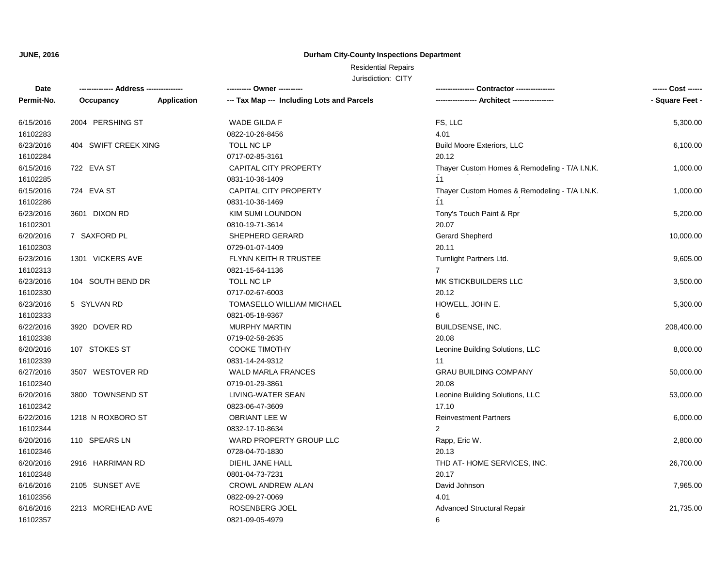### **Durham City-County Inspections Department**

## Residential Repairs

| Date       | ------------- Address -------------- |                    | ---------- Owner ----------                |                                               | ------ Cost ------ |
|------------|--------------------------------------|--------------------|--------------------------------------------|-----------------------------------------------|--------------------|
| Permit-No. | Occupancy                            | <b>Application</b> | --- Tax Map --- Including Lots and Parcels | --- Architect -----------------               | - Square Feet -    |
| 6/15/2016  | 2004 PERSHING ST                     |                    | WADE GILDA F                               | FS, LLC                                       | 5,300.00           |
| 16102283   |                                      |                    | 0822-10-26-8456                            | 4.01                                          |                    |
| 6/23/2016  | 404 SWIFT CREEK XING                 |                    | TOLL NC LP                                 | <b>Build Moore Exteriors, LLC</b>             | 6,100.00           |
| 16102284   |                                      |                    | 0717-02-85-3161                            | 20.12                                         |                    |
| 6/15/2016  | 722 EVA ST                           |                    | <b>CAPITAL CITY PROPERTY</b>               | Thayer Custom Homes & Remodeling - T/A I.N.K. | 1,000.00           |
| 16102285   |                                      |                    | 0831-10-36-1409                            | 11                                            |                    |
| 6/15/2016  | 724 EVA ST                           |                    | <b>CAPITAL CITY PROPERTY</b>               | Thayer Custom Homes & Remodeling - T/A I.N.K. | 1,000.00           |
| 16102286   |                                      |                    | 0831-10-36-1469                            | 11                                            |                    |
| 6/23/2016  | 3601 DIXON RD                        |                    | <b>KIM SUMI LOUNDON</b>                    | Tony's Touch Paint & Rpr                      | 5,200.00           |
| 16102301   |                                      |                    | 0810-19-71-3614                            | 20.07                                         |                    |
| 6/20/2016  | 7 SAXFORD PL                         |                    | SHEPHERD GERARD                            | Gerard Shepherd                               | 10,000.00          |
| 16102303   |                                      |                    | 0729-01-07-1409                            | 20.11                                         |                    |
| 6/23/2016  | 1301 VICKERS AVE                     |                    | FLYNN KEITH R TRUSTEE                      | Turnlight Partners Ltd.                       | 9,605.00           |
| 16102313   |                                      |                    | 0821-15-64-1136                            | $\overline{7}$                                |                    |
| 6/23/2016  | 104 SOUTH BEND DR                    |                    | TOLL NC LP                                 | MK STICKBUILDERS LLC                          | 3,500.00           |
| 16102330   |                                      |                    | 0717-02-67-6003                            | 20.12                                         |                    |
| 6/23/2016  | 5 SYLVAN RD                          |                    | TOMASELLO WILLIAM MICHAEL                  | HOWELL, JOHN E.                               | 5,300.00           |
| 16102333   |                                      |                    | 0821-05-18-9367                            | 6                                             |                    |
| 6/22/2016  | 3920 DOVER RD                        |                    | <b>MURPHY MARTIN</b>                       | BUILDSENSE, INC.                              | 208,400.00         |
| 16102338   |                                      |                    | 0719-02-58-2635                            | 20.08                                         |                    |
| 6/20/2016  | 107 STOKES ST                        |                    | <b>COOKE TIMOTHY</b>                       | Leonine Building Solutions, LLC               | 8,000.00           |
| 16102339   |                                      |                    | 0831-14-24-9312                            | 11                                            |                    |
| 6/27/2016  | 3507 WESTOVER RD                     |                    | <b>WALD MARLA FRANCES</b>                  | <b>GRAU BUILDING COMPANY</b>                  | 50,000.00          |
| 16102340   |                                      |                    | 0719-01-29-3861                            | 20.08                                         |                    |
| 6/20/2016  | 3800 TOWNSEND ST                     |                    | LIVING-WATER SEAN                          | Leonine Building Solutions, LLC               | 53,000.00          |
| 16102342   |                                      |                    | 0823-06-47-3609                            | 17.10                                         |                    |
| 6/22/2016  | 1218 N ROXBORO ST                    |                    | <b>OBRIANT LEE W</b>                       | <b>Reinvestment Partners</b>                  | 6,000.00           |
| 16102344   |                                      |                    | 0832-17-10-8634                            | $\overline{2}$                                |                    |
| 6/20/2016  | 110 SPEARS LN                        |                    | WARD PROPERTY GROUP LLC                    | Rapp, Eric W.                                 | 2,800.00           |
| 16102346   |                                      |                    | 0728-04-70-1830                            | 20.13                                         |                    |
| 6/20/2016  | 2916 HARRIMAN RD                     |                    | DIEHL JANE HALL                            | THD AT-HOME SERVICES, INC.                    | 26,700.00          |
| 16102348   |                                      |                    | 0801-04-73-7231                            | 20.17                                         |                    |
| 6/16/2016  | 2105 SUNSET AVE                      |                    | <b>CROWL ANDREW ALAN</b>                   | David Johnson                                 | 7,965.00           |
| 16102356   |                                      |                    | 0822-09-27-0069                            | 4.01                                          |                    |
| 6/16/2016  | 2213 MOREHEAD AVE                    |                    | ROSENBERG JOEL                             | Advanced Structural Repair                    | 21,735.00          |
| 16102357   |                                      |                    | 0821-09-05-4979                            | 6                                             |                    |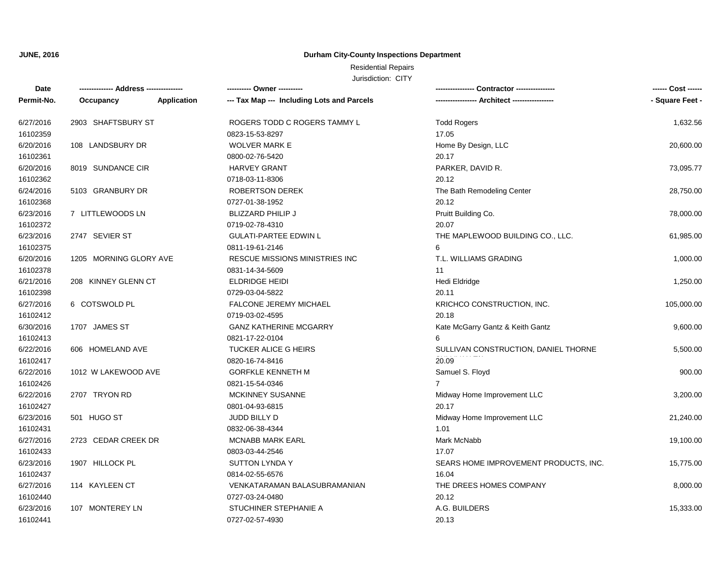### **Durham City-County Inspections Department**

## Residential Repairs

| Date       |                        |             | ---------- Owner ----------                |                                       | ------ Cost ------ |
|------------|------------------------|-------------|--------------------------------------------|---------------------------------------|--------------------|
| Permit-No. | Occupancy              | Application | --- Tax Map --- Including Lots and Parcels |                                       | - Square Feet -    |
| 6/27/2016  | 2903 SHAFTSBURY ST     |             | ROGERS TODD C ROGERS TAMMY L               | <b>Todd Rogers</b>                    | 1,632.56           |
| 16102359   |                        |             | 0823-15-53-8297                            | 17.05                                 |                    |
| 6/20/2016  | 108 LANDSBURY DR       |             | <b>WOLVER MARK E</b>                       | Home By Design, LLC                   | 20,600.00          |
| 16102361   |                        |             | 0800-02-76-5420                            | 20.17                                 |                    |
| 6/20/2016  | 8019 SUNDANCE CIR      |             | <b>HARVEY GRANT</b>                        | PARKER, DAVID R.                      | 73,095.77          |
| 16102362   |                        |             | 0718-03-11-8306                            | 20.12                                 |                    |
| 6/24/2016  | 5103 GRANBURY DR       |             | <b>ROBERTSON DEREK</b>                     | The Bath Remodeling Center            | 28,750.00          |
| 16102368   |                        |             | 0727-01-38-1952                            | 20.12                                 |                    |
| 6/23/2016  | 7 LITTLEWOODS LN       |             | <b>BLIZZARD PHILIP J</b>                   | Pruitt Building Co.                   | 78,000.00          |
| 16102372   |                        |             | 0719-02-78-4310                            | 20.07                                 |                    |
| 6/23/2016  | 2747 SEVIER ST         |             | <b>GULATI-PARTEE EDWIN L</b>               | THE MAPLEWOOD BUILDING CO., LLC.      | 61,985.00          |
| 16102375   |                        |             | 0811-19-61-2146                            | 6                                     |                    |
| 6/20/2016  | 1205 MORNING GLORY AVE |             | RESCUE MISSIONS MINISTRIES INC             | T.L. WILLIAMS GRADING                 | 1,000.00           |
| 16102378   |                        |             | 0831-14-34-5609                            | 11                                    |                    |
| 6/21/2016  | 208 KINNEY GLENN CT    |             | <b>ELDRIDGE HEIDI</b>                      | Hedi Eldridge                         | 1,250.00           |
| 16102398   |                        |             | 0729-03-04-5822                            | 20.11                                 |                    |
| 6/27/2016  | 6 COTSWOLD PL          |             | <b>FALCONE JEREMY MICHAEL</b>              | KRICHCO CONSTRUCTION, INC.            | 105,000.00         |
| 16102412   |                        |             | 0719-03-02-4595                            | 20.18                                 |                    |
| 6/30/2016  | 1707 JAMES ST          |             | <b>GANZ KATHERINE MCGARRY</b>              | Kate McGarry Gantz & Keith Gantz      | 9,600.00           |
| 16102413   |                        |             | 0821-17-22-0104                            |                                       |                    |
| 6/22/2016  | 606 HOMELAND AVE       |             | TUCKER ALICE G HEIRS                       | SULLIVAN CONSTRUCTION, DANIEL THORNE  | 5,500.00           |
| 16102417   |                        |             | 0820-16-74-8416                            | 20.09                                 |                    |
| 6/22/2016  | 1012 W LAKEWOOD AVE    |             | <b>GORFKLE KENNETH M</b>                   | Samuel S. Floyd                       | 900.00             |
| 16102426   |                        |             | 0821-15-54-0346                            | $\overline{7}$                        |                    |
| 6/22/2016  | 2707 TRYON RD          |             | MCKINNEY SUSANNE                           | Midway Home Improvement LLC           | 3,200.00           |
| 16102427   |                        |             | 0801-04-93-6815                            | 20.17                                 |                    |
| 6/23/2016  | 501 HUGO ST            |             | JUDD BILLY D                               | Midway Home Improvement LLC           | 21,240.00          |
| 16102431   |                        |             | 0832-06-38-4344                            | 1.01                                  |                    |
| 6/27/2016  | 2723 CEDAR CREEK DR    |             | <b>MCNABB MARK EARL</b>                    | Mark McNabb                           | 19,100.00          |
| 16102433   |                        |             | 0803-03-44-2546                            | 17.07                                 |                    |
| 6/23/2016  | 1907 HILLOCK PL        |             | <b>SUTTON LYNDA Y</b>                      | SEARS HOME IMPROVEMENT PRODUCTS, INC. | 15,775.00          |
| 16102437   |                        |             | 0814-02-55-6576                            | 16.04                                 |                    |
| 6/27/2016  | 114 KAYLEEN CT         |             | VENKATARAMAN BALASUBRAMANIAN               | THE DREES HOMES COMPANY               | 8,000.00           |
| 16102440   |                        |             | 0727-03-24-0480                            | 20.12                                 |                    |
| 6/23/2016  | 107 MONTEREY LN        |             | STUCHINER STEPHANIE A                      | A.G. BUILDERS                         | 15,333.00          |
| 16102441   |                        |             | 0727-02-57-4930                            | 20.13                                 |                    |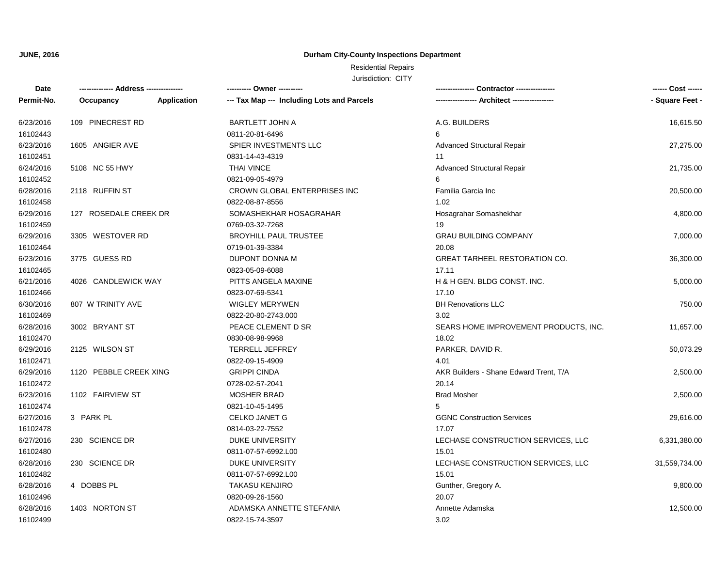### **Durham City-County Inspections Department**

## Residential Repairs

| <b>Date</b> |                        |             | ---------- Owner ----------                |                                        | ------ Cost ------ |
|-------------|------------------------|-------------|--------------------------------------------|----------------------------------------|--------------------|
| Permit-No.  | Occupancy              | Application | --- Tax Map --- Including Lots and Parcels |                                        | - Square Feet -    |
| 6/23/2016   | 109 PINECREST RD       |             | <b>BARTLETT JOHN A</b>                     | A.G. BUILDERS                          | 16,615.50          |
| 16102443    |                        |             | 0811-20-81-6496                            | 6                                      |                    |
| 6/23/2016   | 1605 ANGIER AVE        |             | SPIER INVESTMENTS LLC                      | <b>Advanced Structural Repair</b>      | 27,275.00          |
| 16102451    |                        |             | 0831-14-43-4319                            | 11                                     |                    |
| 6/24/2016   | 5108 NC 55 HWY         |             | <b>THAI VINCE</b>                          | Advanced Structural Repair             | 21,735.00          |
| 16102452    |                        |             | 0821-09-05-4979                            | 6                                      |                    |
| 6/28/2016   | 2118 RUFFIN ST         |             | CROWN GLOBAL ENTERPRISES INC               | Familia Garcia Inc                     | 20,500.00          |
| 16102458    |                        |             | 0822-08-87-8556                            | 1.02                                   |                    |
| 6/29/2016   | 127 ROSEDALE CREEK DR  |             | SOMASHEKHAR HOSAGRAHAR                     | Hosagrahar Somashekhar                 | 4,800.00           |
| 16102459    |                        |             | 0769-03-32-7268                            | 19                                     |                    |
| 6/29/2016   | 3305 WESTOVER RD       |             | <b>BROYHILL PAUL TRUSTEE</b>               | <b>GRAU BUILDING COMPANY</b>           | 7,000.00           |
| 16102464    |                        |             | 0719-01-39-3384                            | 20.08                                  |                    |
| 6/23/2016   | 3775 GUESS RD          |             | DUPONT DONNA M                             | <b>GREAT TARHEEL RESTORATION CO.</b>   | 36,300.00          |
| 16102465    |                        |             | 0823-05-09-6088                            | 17.11                                  |                    |
| 6/21/2016   | 4026 CANDLEWICK WAY    |             | PITTS ANGELA MAXINE                        | H & H GEN. BLDG CONST. INC.            | 5,000.00           |
| 16102466    |                        |             | 0823-07-69-5341                            | 17.10                                  |                    |
| 6/30/2016   | 807 W TRINITY AVE      |             | <b>WIGLEY MERYWEN</b>                      | <b>BH Renovations LLC</b>              | 750.00             |
| 16102469    |                        |             | 0822-20-80-2743.000                        | 3.02                                   |                    |
| 6/28/2016   | 3002 BRYANT ST         |             | PEACE CLEMENT D SR                         | SEARS HOME IMPROVEMENT PRODUCTS, INC.  | 11,657.00          |
| 16102470    |                        |             | 0830-08-98-9968                            | 18.02                                  |                    |
| 6/29/2016   | 2125 WILSON ST         |             | <b>TERRELL JEFFREY</b>                     | PARKER, DAVID R.                       | 50,073.29          |
| 16102471    |                        |             | 0822-09-15-4909                            | 4.01                                   |                    |
| 6/29/2016   | 1120 PEBBLE CREEK XING |             | <b>GRIPPI CINDA</b>                        | AKR Builders - Shane Edward Trent, T/A | 2,500.00           |
| 16102472    |                        |             | 0728-02-57-2041                            | 20.14                                  |                    |
| 6/23/2016   | 1102 FAIRVIEW ST       |             | <b>MOSHER BRAD</b>                         | <b>Brad Mosher</b>                     | 2,500.00           |
| 16102474    |                        |             | 0821-10-45-1495                            | 5                                      |                    |
| 6/27/2016   | 3 PARK PL              |             | <b>CELKO JANET G</b>                       | <b>GGNC Construction Services</b>      | 29,616.00          |
| 16102478    |                        |             | 0814-03-22-7552                            | 17.07                                  |                    |
| 6/27/2016   | 230 SCIENCE DR         |             | DUKE UNIVERSITY                            | LECHASE CONSTRUCTION SERVICES, LLC     | 6,331,380.00       |
| 16102480    |                        |             | 0811-07-57-6992.L00                        | 15.01                                  |                    |
| 6/28/2016   | 230 SCIENCE DR         |             | <b>DUKE UNIVERSITY</b>                     | LECHASE CONSTRUCTION SERVICES, LLC     | 31,559,734.00      |
| 16102482    |                        |             | 0811-07-57-6992.L00                        | 15.01                                  |                    |
| 6/28/2016   | 4 DOBBS PL             |             | <b>TAKASU KENJIRO</b>                      | Gunther, Gregory A.                    | 9,800.00           |
| 16102496    |                        |             | 0820-09-26-1560                            | 20.07                                  |                    |
| 6/28/2016   | 1403 NORTON ST         |             | ADAMSKA ANNETTE STEFANIA                   | Annette Adamska                        | 12,500.00          |
| 16102499    |                        |             | 0822-15-74-3597                            | 3.02                                   |                    |